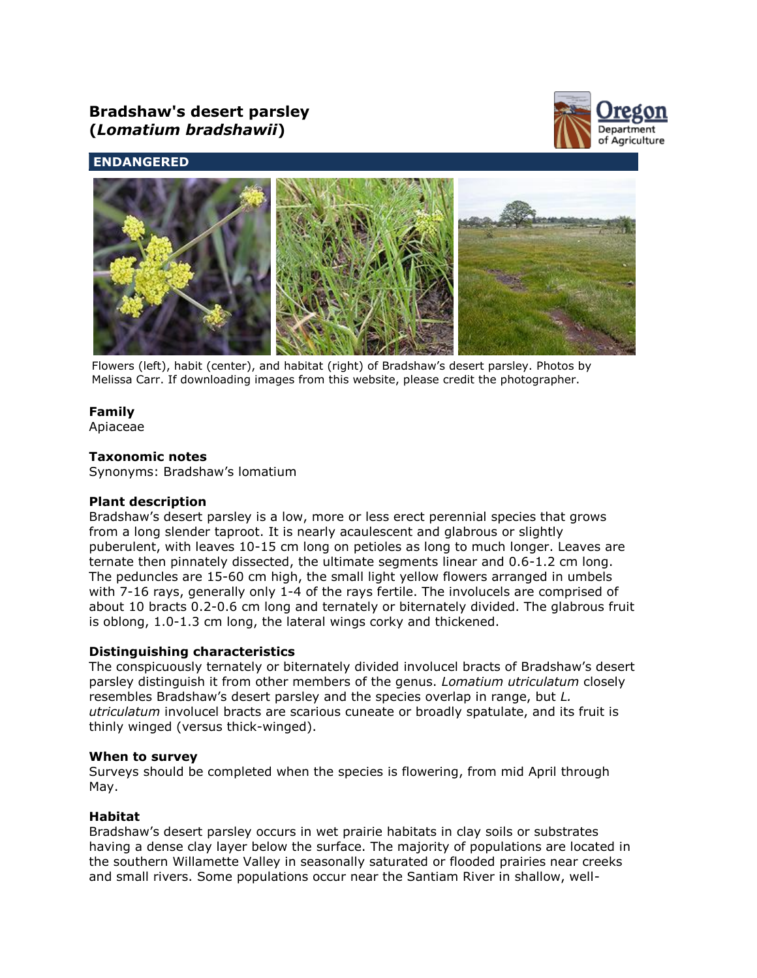# **Bradshaw's desert parsley (***Lomatium bradshawii***)**



# **ENDANGERED**



Flowers (left), habit (center), and habitat (right) of Bradshaw's desert parsley. Photos by Melissa Carr. If downloading images from this website, please credit the photographer.

# **Family**

Apiaceae

# **Taxonomic notes**

Synonyms: Bradshaw's lomatium

# **Plant description**

Bradshaw's desert parsley is a low, more or less erect perennial species that grows from a long slender taproot. It is nearly acaulescent and glabrous or slightly puberulent, with leaves 10-15 cm long on petioles as long to much longer. Leaves are ternate then pinnately dissected, the ultimate segments linear and 0.6-1.2 cm long. The peduncles are 15-60 cm high, the small light yellow flowers arranged in umbels with 7-16 rays, generally only 1-4 of the rays fertile. The involucels are comprised of about 10 bracts 0.2-0.6 cm long and ternately or biternately divided. The glabrous fruit is oblong, 1.0-1.3 cm long, the lateral wings corky and thickened.

# **Distinguishing characteristics**

The conspicuously ternately or biternately divided involucel bracts of Bradshaw's desert parsley distinguish it from other members of the genus. *Lomatium utriculatum* closely resembles Bradshaw's desert parsley and the species overlap in range, but *L. utriculatum* involucel bracts are scarious cuneate or broadly spatulate, and its fruit is thinly winged (versus thick-winged).

# **When to survey**

Surveys should be completed when the species is flowering, from mid April through May.

# **Habitat**

Bradshaw's desert parsley occurs in wet prairie habitats in clay soils or substrates having a dense clay layer below the surface. The majority of populations are located in the southern Willamette Valley in seasonally saturated or flooded prairies near creeks and small rivers. Some populations occur near the Santiam River in shallow, well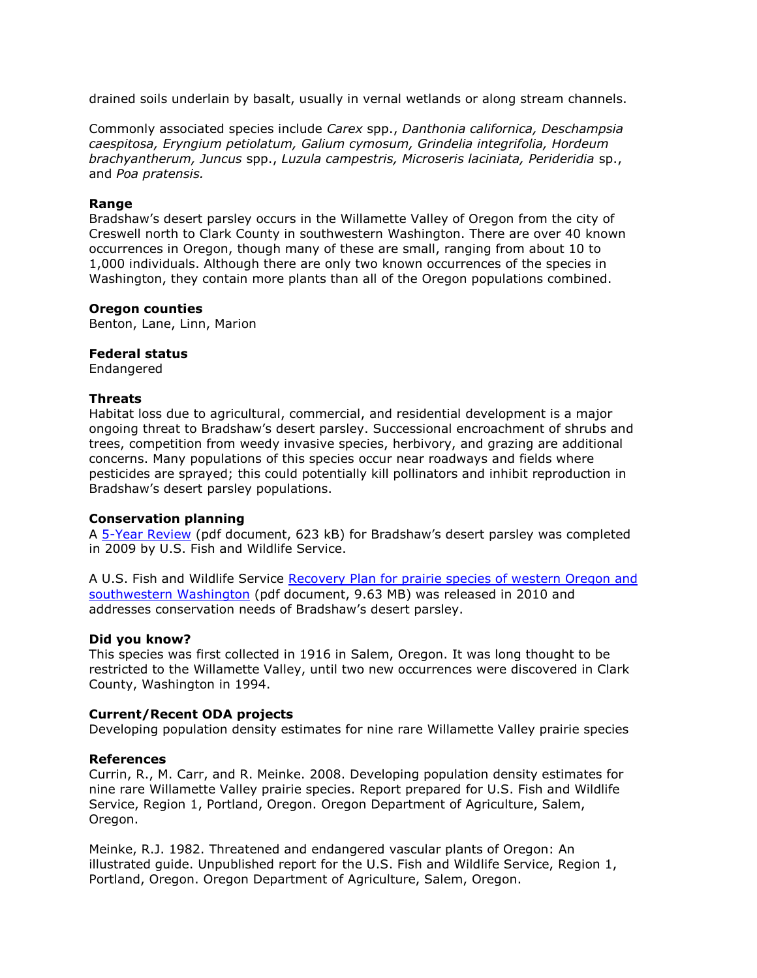drained soils underlain by basalt, usually in vernal wetlands or along stream channels.

Commonly associated species include *Carex* spp., *Danthonia californica, Deschampsia caespitosa, Eryngium petiolatum, Galium cymosum, Grindelia integrifolia, Hordeum brachyantherum, Juncus* spp., *Luzula campestris, Microseris laciniata, Perideridia* sp., and *Poa pratensis.*

#### **Range**

Bradshaw's desert parsley occurs in the Willamette Valley of Oregon from the city of Creswell north to Clark County in southwestern Washington. There are over 40 known occurrences in Oregon, though many of these are small, ranging from about 10 to 1,000 individuals. Although there are only two known occurrences of the species in Washington, they contain more plants than all of the Oregon populations combined.

#### **Oregon counties**

Benton, Lane, Linn, Marion

#### **Federal status**

Endangered

#### **Threats**

Habitat loss due to agricultural, commercial, and residential development is a major ongoing threat to Bradshaw's desert parsley. Successional encroachment of shrubs and trees, competition from weedy invasive species, herbivory, and grazing are additional concerns. Many populations of this species occur near roadways and fields where pesticides are sprayed; this could potentially kill pollinators and inhibit reproduction in Bradshaw's desert parsley populations.

#### **Conservation planning**

A [5-Year Review](http://ecos.fws.gov/docs/five_year_review/doc2634.pdf) (pdf document, 623 kB) for Bradshaw's desert parsley was completed in 2009 by U.S. Fish and Wildlife Service.

A U.S. Fish and Wildlife Service [Recovery Plan for prairie species of western Oregon and](http://ecos.fws.gov/docs/recovery_plan/100629.pdf)  [southwestern Washington](http://ecos.fws.gov/docs/recovery_plan/100629.pdf) (pdf document, 9.63 MB) was released in 2010 and addresses conservation needs of Bradshaw's desert parsley.

#### **Did you know?**

This species was first collected in 1916 in Salem, Oregon. It was long thought to be restricted to the Willamette Valley, until two new occurrences were discovered in Clark County, Washington in 1994.

#### **Current/Recent ODA projects**

Developing population density estimates for nine rare Willamette Valley prairie species

#### **References**

Currin, R., M. Carr, and R. Meinke. 2008. Developing population density estimates for nine rare Willamette Valley prairie species. Report prepared for U.S. Fish and Wildlife Service, Region 1, Portland, Oregon. Oregon Department of Agriculture, Salem, Oregon.

Meinke, R.J. 1982. Threatened and endangered vascular plants of Oregon: An illustrated guide. Unpublished report for the U.S. Fish and Wildlife Service, Region 1, Portland, Oregon. Oregon Department of Agriculture, Salem, Oregon.